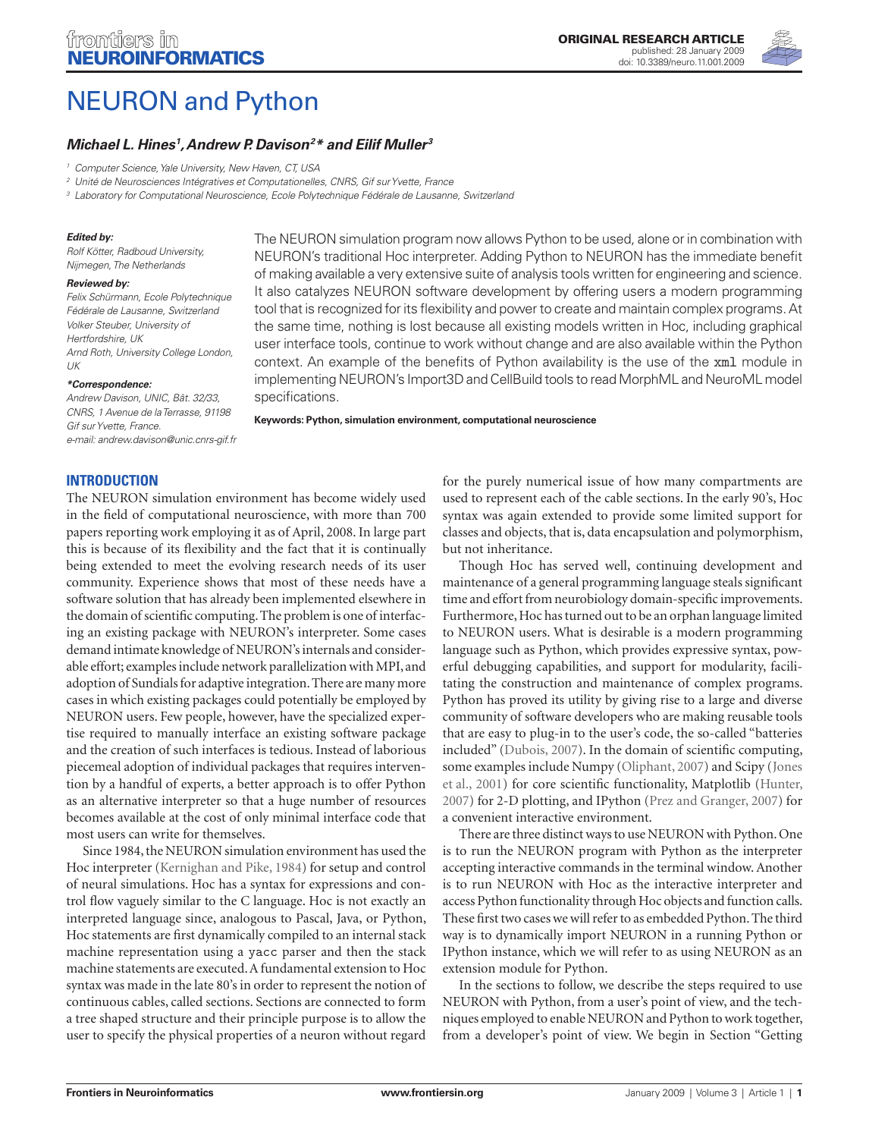

# NEURON and Python

# *Michael L. Hines1 , Andrew P. Davison2 \* and Eilif Muller3*

*1 Computer Science, Yale University, New Haven, CT, USA*

*2 Unité de Neurosciences Intégratives et Computationelles, CNRS, Gif sur Yvette, France*

<sup>3</sup> Laboratory for Computational Neuroscience, Ecole Polytechnique Fédérale de Lausanne, Switzerlanc

#### *Edited by:*

*Rolf Kötter, Radboud University, Nijmegen, The Netherlands*

#### *Reviewed by:*

*Felix Schürmann, Ecole Polytechnique Fédérale de Lausanne, Switzerland Volker Steuber, University of Hertfordshire, UK Arnd Roth, University College London, UK*

#### *\*Correspondence:*

*Andrew Davison, UNIC, Bât. 32/33, CNRS, 1 Avenue de la Terrasse, 91198 Gif sur Yvette, France.*

*e-mail: andrew.davison@unic.cnrs-gif.fr*

**INTRODUCTION**

The NEURON simulation environment has become widely used in the field of computational neuroscience, with more than 700 papers reporting work employing it as of April, 2008. In large part this is because of its flexibility and the fact that it is continually being extended to meet the evolving research needs of its user community. Experience shows that most of these needs have a software solution that has already been implemented elsewhere in the domain of scientific computing. The problem is one of interfacing an existing package with NEURON's interpreter. Some cases demand intimate knowledge of NEURON's internals and considerable effort; examples include network parallelization with MPI, and adoption of Sundials for adaptive integration. There are many more cases in which existing packages could potentially be employed by NEURON users. Few people, however, have the specialized expertise required to manually interface an existing software package and the creation of such interfaces is tedious. Instead of laborious piecemeal adoption of individual packages that requires intervention by a handful of experts, a better approach is to offer Python as an alternative interpreter so that a huge number of resources becomes available at the cost of only minimal interface code that most users can write for themselves.

Since 1984, the NEURON simulation environment has used the Hoc interpreter (Kernighan and Pike, 1984) for setup and control of neural simulations. Hoc has a syntax for expressions and control flow vaguely similar to the C language. Hoc is not exactly an interpreted language since, analogous to Pascal, Java, or Python, Hoc statements are first dynamically compiled to an internal stack machine representation using a yacc parser and then the stack machine statements are executed. A fundamental extension to Hoc syntax was made in the late 80's in order to represent the notion of continuous cables, called sections. Sections are connected to form a tree shaped structure and their principle purpose is to allow the user to specify the physical properties of a neuron without regard

The NEURON simulation program now allows Python to be used, alone or in combination with NEURON's traditional Hoc interpreter. Adding Python to NEURON has the immediate benefi t of making available a very extensive suite of analysis tools written for engineering and science. It also catalyzes NEURON software development by offering users a modern programming tool that is recognized for its flexibility and power to create and maintain complex programs. At the same time, nothing is lost because all existing models written in Hoc, including graphical user interface tools, continue to work without change and are also available within the Python context. An example of the benefits of Python availability is the use of the xml module in implementing NEURON's Import3D and CellBuild tools to read MorphML and NeuroML model specifications.

**Keywords: Python, simulation environment, computational neuroscience**

for the purely numerical issue of how many compartments are used to represent each of the cable sections. In the early 90's, Hoc syntax was again extended to provide some limited support for classes and objects, that is, data encapsulation and polymorphism, but not inheritance.

Though Hoc has served well, continuing development and maintenance of a general programming language steals significant time and effort from neurobiology domain-specific improvements. Furthermore, Hoc has turned out to be an orphan language limited to NEURON users. What is desirable is a modern programming language such as Python, which provides expressive syntax, powerful debugging capabilities, and support for modularity, facilitating the construction and maintenance of complex programs. Python has proved its utility by giving rise to a large and diverse community of software developers who are making reusable tools that are easy to plug-in to the user's code, the so-called "batteries included" (Dubois, 2007). In the domain of scientific computing, some examples include Numpy (Oliphant, 2007) and Scipy (Jones et al., 2001) for core scientific functionality, Matplotlib (Hunter, 2007) for 2-D plotting, and IPython (Prez and Granger, 2007) for a convenient interactive environment.

There are three distinct ways to use NEURON with Python. One is to run the NEURON program with Python as the interpreter accepting interactive commands in the terminal window. Another is to run NEURON with Hoc as the interactive interpreter and access Python functionality through Hoc objects and function calls. These first two cases we will refer to as embedded Python. The third way is to dynamically import NEURON in a running Python or IPython instance, which we will refer to as using NEURON as an extension module for Python.

In the sections to follow, we describe the steps required to use NEURON with Python, from a user's point of view, and the techniques employed to enable NEURON and Python to work together, from a developer's point of view. We begin in Section "Getting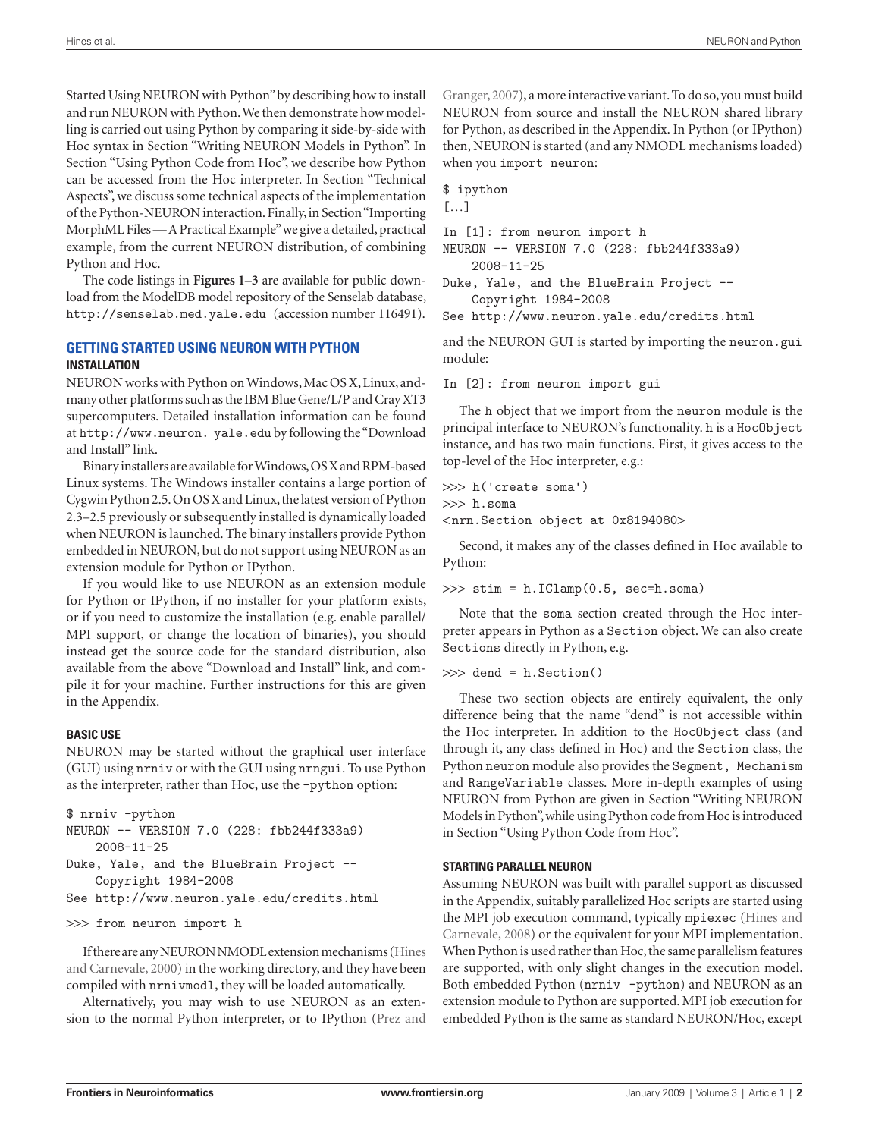Started Using NEURON with Python" by describing how to install and run NEURON with Python. We then demonstrate how modelling is carried out using Python by comparing it side-by-side with Hoc syntax in Section "Writing NEURON Models in Python". In Section "Using Python Code from Hoc", we describe how Python can be accessed from the Hoc interpreter. In Section "Technical Aspects", we discuss some technical aspects of the implementation of the Python-NEURON interaction. Finally, in Section "Importing MorphML Files — A Practical Example" we give a detailed, practical example, from the current NEURON distribution, of combining Python and Hoc.

The code listings in **Figures 1–3** are available for public download from the ModelDB model repository of the Senselab database, http://senselab.med.yale.edu (accession number 116491).

# **GETTING STARTED USING NEURON WITH PYTHON INSTALLATION**

NEURON works with Python on Windows, Mac OS X, Linux, andmany other platforms such as the IBM Blue Gene/L/P and Cray XT3 supercomputers. Detailed installation information can be found at http://www.neuron. yale.edu by following the "Download and Install" link.

Binary installers are available for Windows, OS X and RPM-based Linux systems. The Windows installer contains a large portion of Cygwin Python 2.5. On OS X and Linux, the latest version of Python 2.3–2.5 previously or subsequently installed is dynamically loaded when NEURON is launched. The binary installers provide Python embedded in NEURON, but do not support using NEURON as an extension module for Python or IPython.

If you would like to use NEURON as an extension module for Python or IPython, if no installer for your platform exists, or if you need to customize the installation (e.g. enable parallel/ MPI support, or change the location of binaries), you should instead get the source code for the standard distribution, also available from the above "Download and Install" link, and compile it for your machine. Further instructions for this are given in the Appendix.

## **BASIC USE**

NEURON may be started without the graphical user interface (GUI) using nrniv or with the GUI using nrngui. To use Python as the interpreter, rather than Hoc, use the -python option:

```
$ nrniv -python
NEURON -- VERSION 7.0 (228: fbb244f333a9)
     2008-11-25
Duke, Yale, and the BlueBrain Project -- 
     Copyright 1984-2008
```

```
See http://www.neuron.yale.edu/credits.html
```

```
>>> from neuron import h
```
If there are any NEURON NMODL extension mechanisms (Hines and Carnevale, 2000) in the working directory, and they have been compiled with nrnivmodl, they will be loaded automatically.

Alternatively, you may wish to use NEURON as an extension to the normal Python interpreter, or to IPython (Prez and Granger, 2007), a more interactive variant. To do so, you must build NEURON from source and install the NEURON shared library for Python, as described in the Appendix. In Python (or IPython) then, NEURON is started (and any NMODL mechanisms loaded) when you import neuron:

\$ ipython

[…]

In [1]: from neuron import h

NEURON -- VERSION 7.0 (228: fbb244f333a9) 2008-11-25

Duke, Yale, and the BlueBrain Project -- Copyright 1984-2008

See http://www.neuron.yale.edu/credits.html

and the NEURON GUI is started by importing the neuron.gui module:

In [2]: from neuron import gui

The h object that we import from the neuron module is the principal interface to NEURON's functionality. h is a HocObject instance, and has two main functions. First, it gives access to the top-level of the Hoc interpreter, e.g.:

>>> h('create soma')

```
>>> h.soma
```
< nrn.Section object at 0x8194080>

Second, it makes any of the classes defined in Hoc available to Python:

>>> stim = h.IClamp(0.5, sec=h.soma)

Note that the soma section created through the Hoc interpreter appears in Python as a Section object. We can also create Sections directly in Python, e.g.

>>> dend = h.Section()

These two section objects are entirely equivalent, the only difference being that the name "dend" is not accessible within the Hoc interpreter. In addition to the HocObject class (and through it, any class defined in Hoc) and the Section class, the Python neuron module also provides the Segment, Mechanism and RangeVariable classes. More in-depth examples of using NEURON from Python are given in Section "Writing NEURON Models in Python", while using Python code from Hoc is introduced in Section "Using Python Code from Hoc".

## **STARTING PARALLEL NEURON**

Assuming NEURON was built with parallel support as discussed in the Appendix, suitably parallelized Hoc scripts are started using the MPI job execution command, typically mpiexec (Hines and Carnevale, 2008) or the equivalent for your MPI implementation. When Python is used rather than Hoc, the same parallelism features are supported, with only slight changes in the execution model. Both embedded Python (nrniv -python) and NEURON as an extension module to Python are supported. MPI job execution for embedded Python is the same as standard NEURON/Hoc, except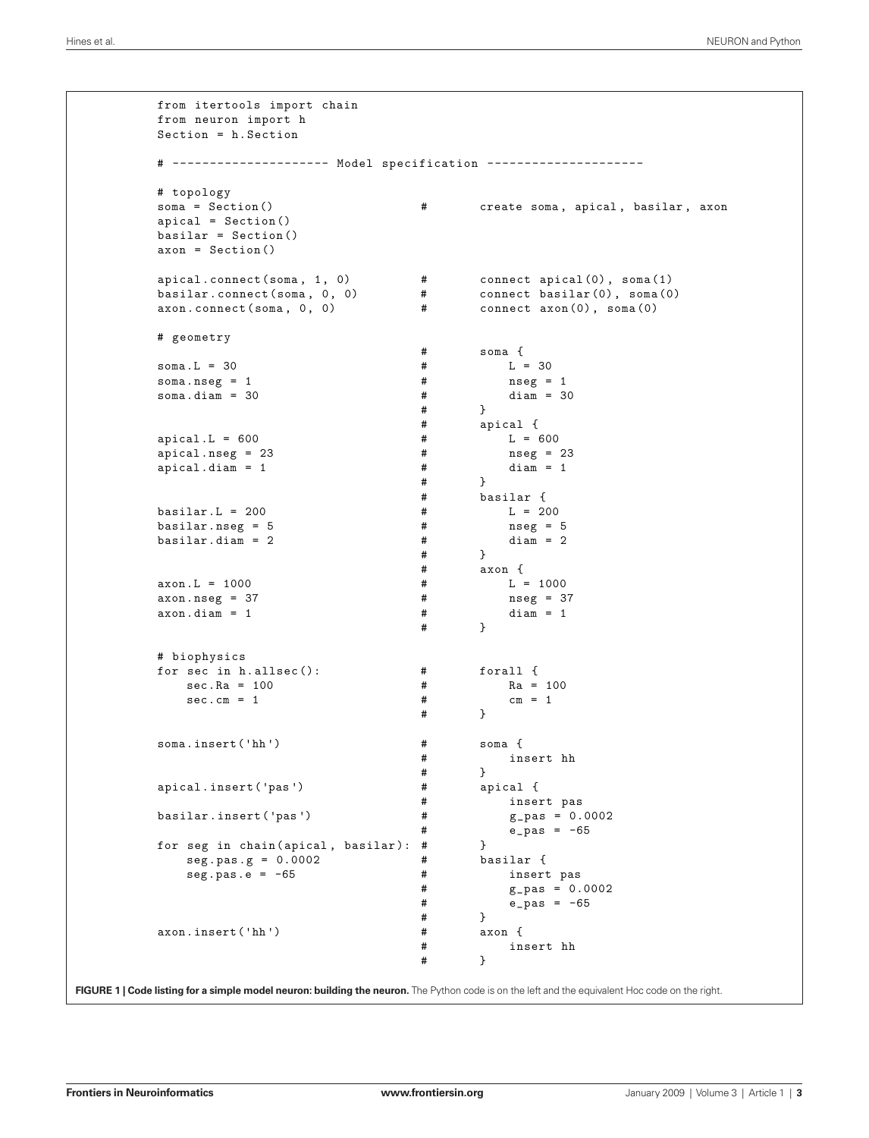```
from itertools import chain
from neuron import h
Section = h.Section
# --------------------- Model specification ---------------------
# topology
                                       # create soma, apical, basilar, axon
apical = Section()
basilar = Section()
axon = Section()
apical.connect(soma , 1, 0) # connect apical(0), soma(1)
basilar.connect(soma , 0, 0) # connect basilar(0), soma(0)
axon.\text{connect}(\text{sona}, 0, 0) # connect axon(0), soma(0)# geometry
                                       \begin{array}{cccc}\n# & \qquad \qquad \texttt{sona} & \{\\
\# & \qquad \qquad & \mathbb{L} = 30\n\end{array}soma.L = 30soma.nseg = 1 <br>soma.diam = 30 <br># diam = 30 <br># diam = 30
soma.diam = 30 #
                                               # }
                                       # apical {
apical.L = 600 # L = 600\text{apical.nseg} = 23 \text{apical.dim} = 1 \text{apical.dim} = 1 \text{apical.dim} = 1apical.diam = 1 # #\begin{array}{ccc}\n# & & \rightarrow \\
\end{array}basilar {
basilar.L = 200 # L = 200
\texttt{basilar.nseg = 5} \texttt{basilar.diam = 2} \texttt{hasilar.diam = 2} \texttt{hasular = 2}basilar.dim = 2 # ## }
                                       # axon f<br># L = 1000axon.L = 1000axon.nseg = 37 # nseg = 37axon.diam = 1 # diam = 1# }
# biophysics
for sec in h.allsec(): \qquad # forall {
    \sec Ra = 100 \sec cm = 1 \tan m = 1 \tan m = 1sec.cm = 1 #
                                               # }
soma.insert('hh ') # soma {
                                       # insert hh
                                       # }
apical.insert ('pas') \qquad # apical {
                                       # insert pas<br># g_{\text{p}}as = 0.0002
basilar.insert ('pas') \qquad \qquad \qquad #
                                       # \t e_pas = -65
for seg in chain(apical, basilar): \# }<br>seg.pas.g = 0.0002 \# h.
    \text{seg}.\text{pas}.g = 0.0002 \text{#} basilar {<br>\text{seg}.\text{pas}.e = -65 \text{#} insert
    seg.pas.e = -65 \qquad \qquad \qquad \qquad \qquad \qquad \qquad \qquad \qquad \qquad \qquad \qquad \qquad \qquad \qquad \qquad \qquad \qquad \qquad \qquad \qquad \qquad \qquad \qquad \qquad \qquad \qquad \qquad \qquad \qquad \qquad \qquad \qquad \qquadg_{-}pas = 0.0002# \t e_pas = -65
                                       # }<br># axon {
axon.insert('hh') #
                                       # insert hh
                                       # }
```
**FIGURE 1 | Code listing for a simple model neuron: building the neuron.** The Python code is on the left and the equivalent Hoc code on the right.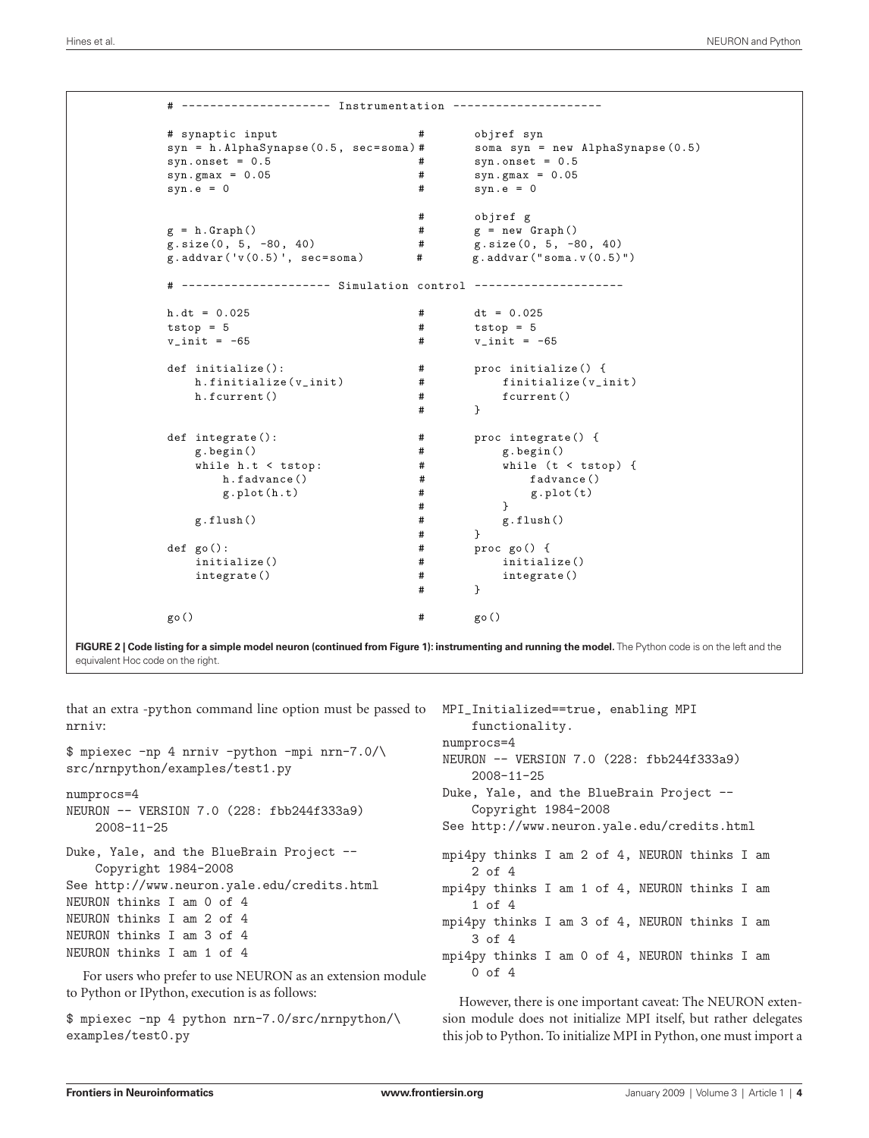```
# --------------------- Instrumentation ---------------------
# synaptic input # objref syn
syn = h.AlphaSynapse(0.5, sec=soma) # soma syn = new AlphaSynapse(0.5)
syn.onset = 0.5 <br>syn.gmax = 0.05 <br># syn.gmax = 0.05 <br># syn.gmax = 0.05
                                               syn.gmax = 0.05syn.e = 0 # syn.e = 0# objref g
g = h.Graph() # g = new Graph()<br>
g.size(0, 5, -80, 40) # g.size(0, 5, -60)g.size(0, 5, -80, 40) # g.size(0, 5, -80, 40)<br>g.addvar('v(0.5)', sec=soma) # g.addvar("soma.v(0.5)")
g.addvar('v(0.5)', sec=soma)
# --------------------- Simulation control ---------------------
h.dt = 0.025 <br>tstop = 5 <br># tstop = 5 <br># tstop = 5
tstop = 5<br>
v_{\perp} init = -65<br>
v_{\perp} \qquad \qquad \qquad \qquad \qquad \qquad \qquad \qquad \qquad \qquad \qquad \qquad \qquad \qquad \qquad \qquad \qquad \qquad \qquad \qquad \qquad \qquad \qquad \qquad \qquad \qquad \qquad \qquad \qquad \# \t v_1init = -65
def initialize(): \qquad \qquad # proc initialize() {<br>h.finitialize(v_init) \qquad \qquad # finitialize(v_init)
    h.finitialize(v_init) #
    h.fcurrent() # fcurrent()
                                       # }
def integrate(): \qquad # proc integrate() {
    g.begin() # g.begin()
    while h.t < tstop: \begin{array}{ccc} # & while (t < tstop) \ {h,fadvance()} & # & \\ \end{array}h.fadvance() # fadvance()
        g.plot(h.t) #
                                       # }
                                       # g.flush()
                                       \begin{matrix} # & & \} \\ # & & \end{matrix}g.flush()
def go(): # proc go() {
                                                    initialize()
    integrate() \begin{array}{ccc} & & \# & & \text{integer} \\ & & & \# & \\ & & \# & \\ \end{array}# }
go() # go()
```
FIGURE 2 | Code listing for a simple model neuron (continued from Figure 1): instrumenting and running the model. The Python code is on the left and the equivalent Hoc code on the right.

that an extra -python command line option must be passed to nrniv:

```
$ mpiexec -np 4 nrniv -python -mpi nrn-7.0/\
src/nrnpython/examples/test1.py
```

```
numprocs=4
```

```
NEURON -- VERSION 7.0 (228: fbb244f333a9) 
     2008-11-25
```
Duke, Yale, and the BlueBrain Project -- Copyright 1984-2008 See http://www.neuron.yale.edu/credits.html

```
NEURON thinks I am 0 of 4
```
NEURON thinks I am 2 of 4 NEURON thinks I am 3 of 4

```
NEURON thinks I am 1 of 4
```
For users who prefer to use NEURON as an extension module to Python or IPython, execution is as follows:

```
$ mpiexec -np 4 python nrn-7.0/src/nrnpython/\
examples/test0.py
```

```
MPI_Initialized==true, enabling MPI 
     functionality.
numprocs=4
NEURON -- VERSION 7.0 (228: fbb244f333a9) 
     2008-11-25
Duke, Yale, and the BlueBrain Project -- 
      Copyright 1984-2008
See http://www.neuron.yale.edu/credits.html
mpi4py thinks I am 2 of 4, NEURON thinks I am 
      2 of 4
mpi4py thinks I am 1 of 4, NEURON thinks I am 
     1 of 4
mpi4py thinks I am 3 of 4, NEURON thinks I am
      3 of 4
mpi4py thinks I am 0 of 4, NEURON thinks I am
     0 of 4
```
However, there is one important caveat: The NEURON extension module does not initialize MPI itself, but rather delegates this job to Python. To initialize MPI in Python, one must import a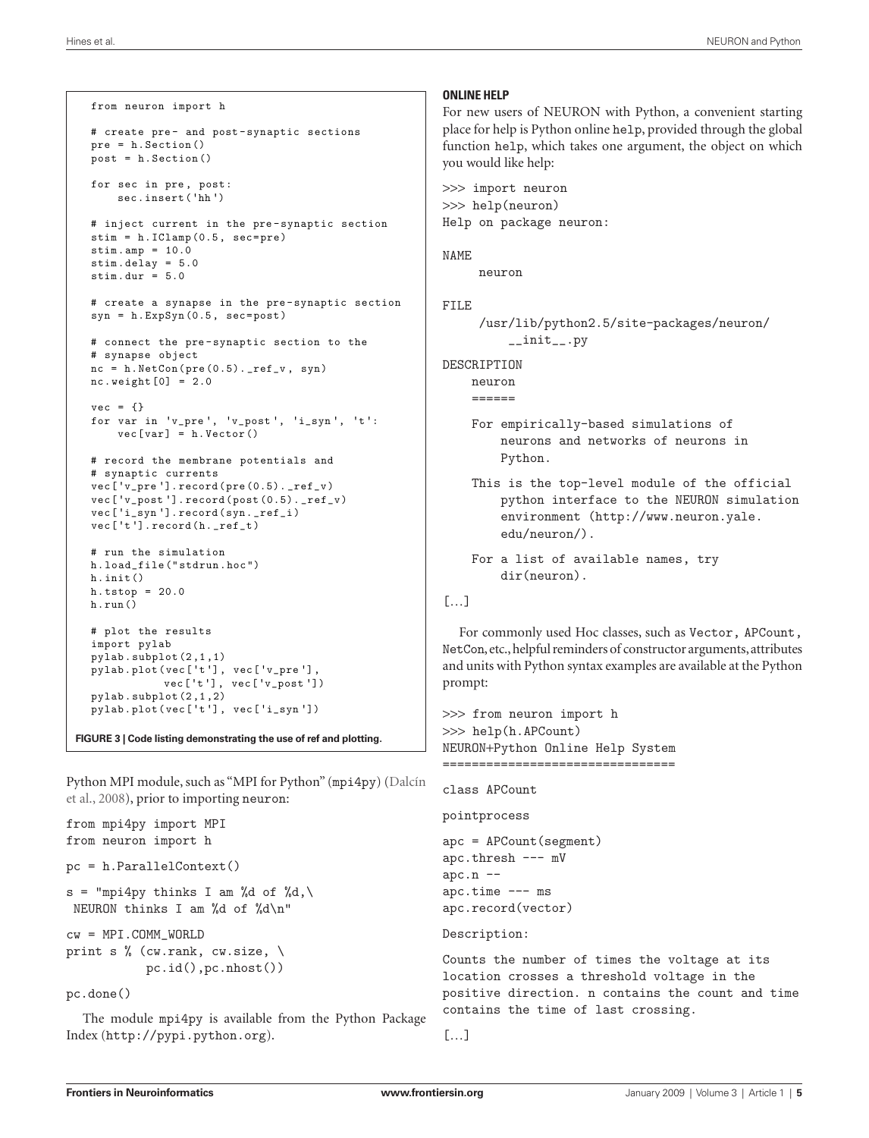```
from neuron import h
# create pre- and post -synaptic sections
pre = h.Section()
post = h.Section()
for sec in pre, post:
   sec.insert('hh ')
# inject current in the pre-synaptic section
stim = h.IClamp(0.5, sec=pre)
stimamp = 10.0stim.delay = 5.0
stim.dur = 5.0# create a synapse in the pre-synaptic section
syn = h.ExpSyn(0.5, sec=post)
# connect the pre-synaptic section to the
# synapse object
nc = h.MetCon(pre(0.5) . _ref_v , syn)nc. weight[0] = 2.0vec = \{\}for var in 'v_pre ', 'v_post ', 'i_syn ', 't':
    vec[var] = h.Vector()
# record the membrane potentials and
# synaptic currents
vec['v_pre '].record(pre(0.5)._ref_v)
vec['v_post '].record(post(0.5)._ref_v)
vec['i_syn '].record(syn._ref_i)
vec['t'].record(h._ref_t)
# run the simulation
h.load_file("stdrun.hoc")
h.init()
h.tstop = 20.0
h.run()
# plot the results
import pylab
pylab.subplot(2,1,1)
pylab.plot(vec['t'], vec['v_pre '] ,
           vec['t'], vec['v_post '])
pylab.subplot(2,1,2)
pylab.plot(vec['t'], vec['i_syn '])
```
**FIGURE 3 | Code listing demonstrating the use of ref and plotting.**

Python MPI module, such as "MPI for Python" (mpi4py) (Dalcín et al., 2008), prior to importing neuron:

```
from mpi4py import MPI
from neuron import h
pc = h.ParallelContext()
s = "mpi4py thinks I am %d of %d,\
 NEURON thinks I am %d of %d\n"
cw = MPI.COMM_WORLD
print s \% (cw.rank, cw.size, \setminus pc.id(),pc.nhost())
pc.done()
```
The module mpi4py is available from the Python Package Index (http://pypi.python.org).

#### **ONLINE HELP**

For new users of NEURON with Python, a convenient starting place for help is Python online help, provided through the global function help, which takes one argument, the object on which you would like help:

>>> import neuron >>> help(neuron) Help on package neuron:

#### NAME

```
 neuron
```
# FILE

```
 /usr/lib/python2.5/site-packages/neuron/
     __init__.py
```
#### DESCRIPTION

neuron

- $=$
- For empirically-based simulations of neurons and networks of neurons in Python.
- This is the top-level module of the official python interface to the NEURON simulation environment (http://www.neuron.yale. edu/neuron/).

```
 For a list of available names, try 
     dir(neuron).
```

```
[...]
```
For commonly used Hoc classes, such as Vector, APCount, NetCon, etc., helpful reminders of constructor arguments, attributes and units with Python syntax examples are available at the Python prompt:

```
>>> from neuron import h
>>> help(h.APCount)
NEURON+Python Online Help System
====================================
```

```
class APCount
```

```
pointprocess
```

```
apc = APCount(segment)
apc.thresh --- mV
apc.n --apc.time --- ms
apc.record(vector)
```
## Description:

Counts the number of times the voltage at its location crosses a threshold voltage in the positive direction. n contains the count and time contains the time of last crossing.

```
[...]
```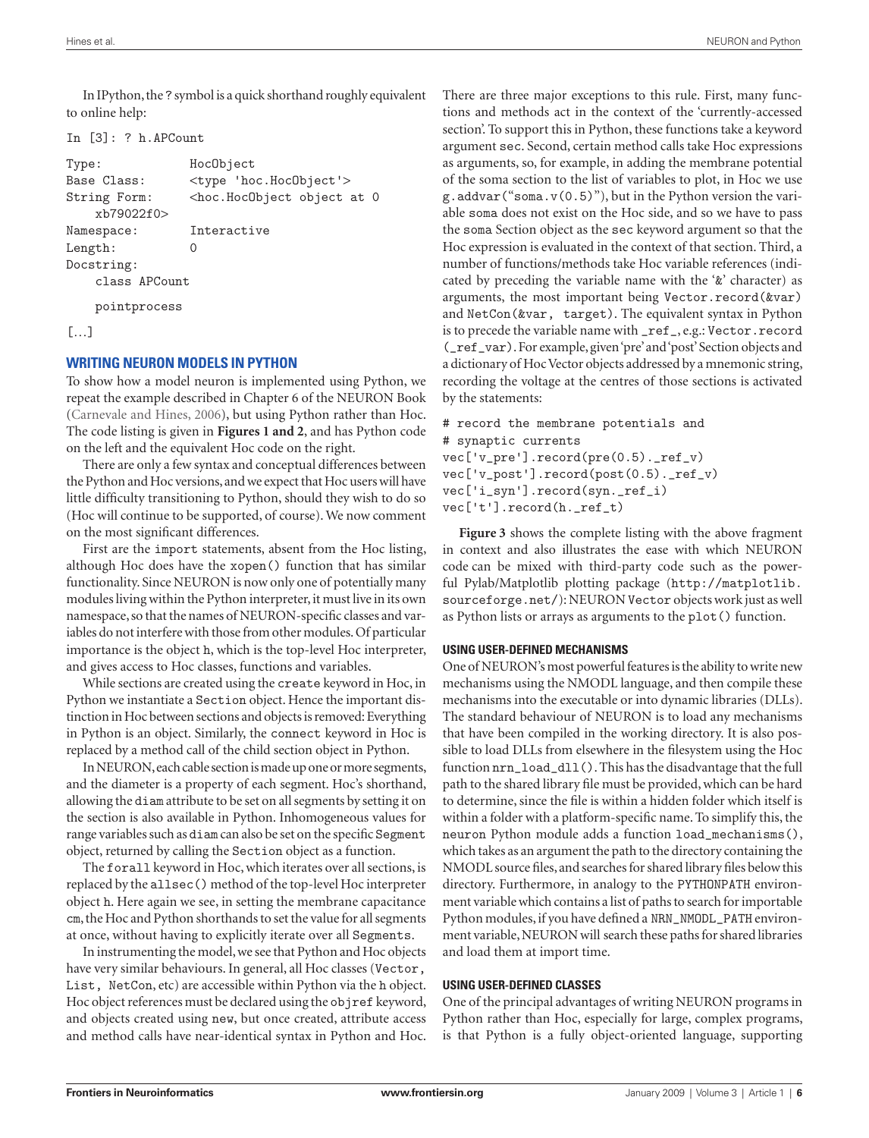In IPython, the ? symbol is a quick shorthand roughly equivalent to online help:

#### In [3]: ? h.APCount

| Type:                        | HocObject                                                   |  |
|------------------------------|-------------------------------------------------------------|--|
| Base Class:                  | <type 'hoc.hocobject'=""></type>                            |  |
| String Form:<br>xb79022f0>   | <hoc.hocobject 0<="" at="" object="" td=""></hoc.hocobject> |  |
| Namespace:                   | Interactive                                                 |  |
| Length:                      | $\left( \right)$                                            |  |
| Docstring:                   |                                                             |  |
| class APCount                |                                                             |  |
| pointprocess                 |                                                             |  |
| $\lceil \cdot \ldots \rceil$ |                                                             |  |

## **WRITING NEURON MODELS IN PYTHON**

To show how a model neuron is implemented using Python, we repeat the example described in Chapter 6 of the NEURON Book (Carnevale and Hines, 2006), but using Python rather than Hoc. The code listing is given in **Figures 1 and 2**, and has Python code on the left and the equivalent Hoc code on the right.

There are only a few syntax and conceptual differences between the Python and Hoc versions, and we expect that Hoc users will have little difficulty transitioning to Python, should they wish to do so (Hoc will continue to be supported, of course). We now comment on the most significant differences.

First are the import statements, absent from the Hoc listing, although Hoc does have the xopen() function that has similar functionality. Since NEURON is now only one of potentially many modules living within the Python interpreter, it must live in its own namespace, so that the names of NEURON-specific classes and variables do not interfere with those from other modules. Of particular importance is the object h, which is the top-level Hoc interpreter, and gives access to Hoc classes, functions and variables.

While sections are created using the create keyword in Hoc, in Python we instantiate a Section object. Hence the important distinction in Hoc between sections and objects is removed: Everything in Python is an object. Similarly, the connect keyword in Hoc is replaced by a method call of the child section object in Python.

In NEURON, each cable section is made up one or more segments, and the diameter is a property of each segment. Hoc's shorthand, allowing the diam attribute to be set on all segments by setting it on the section is also available in Python. Inhomogeneous values for range variables such as diam can also be set on the specific Segment object, returned by calling the Section object as a function.

The forall keyword in Hoc, which iterates over all sections, is replaced by the allsec() method of the top-level Hoc interpreter object h. Here again we see, in setting the membrane capacitance cm, the Hoc and Python shorthands to set the value for all segments at once, without having to explicitly iterate over all Segments.

In instrumenting the model, we see that Python and Hoc objects have very similar behaviours. In general, all Hoc classes (Vector, List, NetCon, etc) are accessible within Python via the h object. Hoc object references must be declared using the objref keyword, and objects created using new, but once created, attribute access and method calls have near-identical syntax in Python and Hoc. There are three major exceptions to this rule. First, many functions and methods act in the context of the 'currently-accessed section'. To support this in Python, these functions take a keyword argument sec. Second, certain method calls take Hoc expressions as arguments, so, for example, in adding the membrane potential of the soma section to the list of variables to plot, in Hoc we use  $g.addvar("soma.v(0.5))$ , but in the Python version the variable soma does not exist on the Hoc side, and so we have to pass the soma Section object as the sec keyword argument so that the Hoc expression is evaluated in the context of that section. Third, a number of functions/methods take Hoc variable references (indicated by preceding the variable name with the '&' character) as arguments, the most important being Vector.record(&var) and NetCon(&var, target). The equivalent syntax in Python is to precede the variable name with \_ref\_, e.g.: Vector.record (\_ref\_var). For example, given 'pre' and 'post' Section objects and a dictionary of Hoc Vector objects addressed by a mnemonic string, recording the voltage at the centres of those sections is activated by the statements:

```
# record the membrane potentials and
# synaptic currents
vec['v_pre'].record(pre(0.5)._ref_v)
vec['v_{post}'].record(post(0.5).ref_v)
vec['i_syn'].record(syn._ref_i)
vec['t'].record(h._ref_t)
```
**Figure 3** shows the complete listing with the above fragment in context and also illustrates the ease with which NEURON code can be mixed with third-party code such as the powerful Pylab/Matplotlib plotting package (http://matplotlib. sourceforge.net/): NEURON Vector objects work just as well as Python lists or arrays as arguments to the plot() function.

## **USING USER-DEFINED MECHANISMS**

One of NEURON's most powerful features is the ability to write new mechanisms using the NMODL language, and then compile these mechanisms into the executable or into dynamic libraries (DLLs). The standard behaviour of NEURON is to load any mechanisms that have been compiled in the working directory. It is also possible to load DLLs from elsewhere in the filesystem using the Hoc function nrn\_load\_dll(). This has the disadvantage that the full path to the shared library file must be provided, which can be hard to determine, since the file is within a hidden folder which itself is within a folder with a platform-specific name. To simplify this, the neuron Python module adds a function load\_mechanisms(), which takes as an argument the path to the directory containing the NMODL source files, and searches for shared library files below this directory. Furthermore, in analogy to the PYTHONPATH environment variable which contains a list of paths to search for importable Python modules, if you have defined a NRN\_NMODL\_PATH environment variable, NEURON will search these paths for shared libraries and load them at import time.

## **USING USER-DEFINED CLASSES**

One of the principal advantages of writing NEURON programs in Python rather than Hoc, especially for large, complex programs, is that Python is a fully object-oriented language, supporting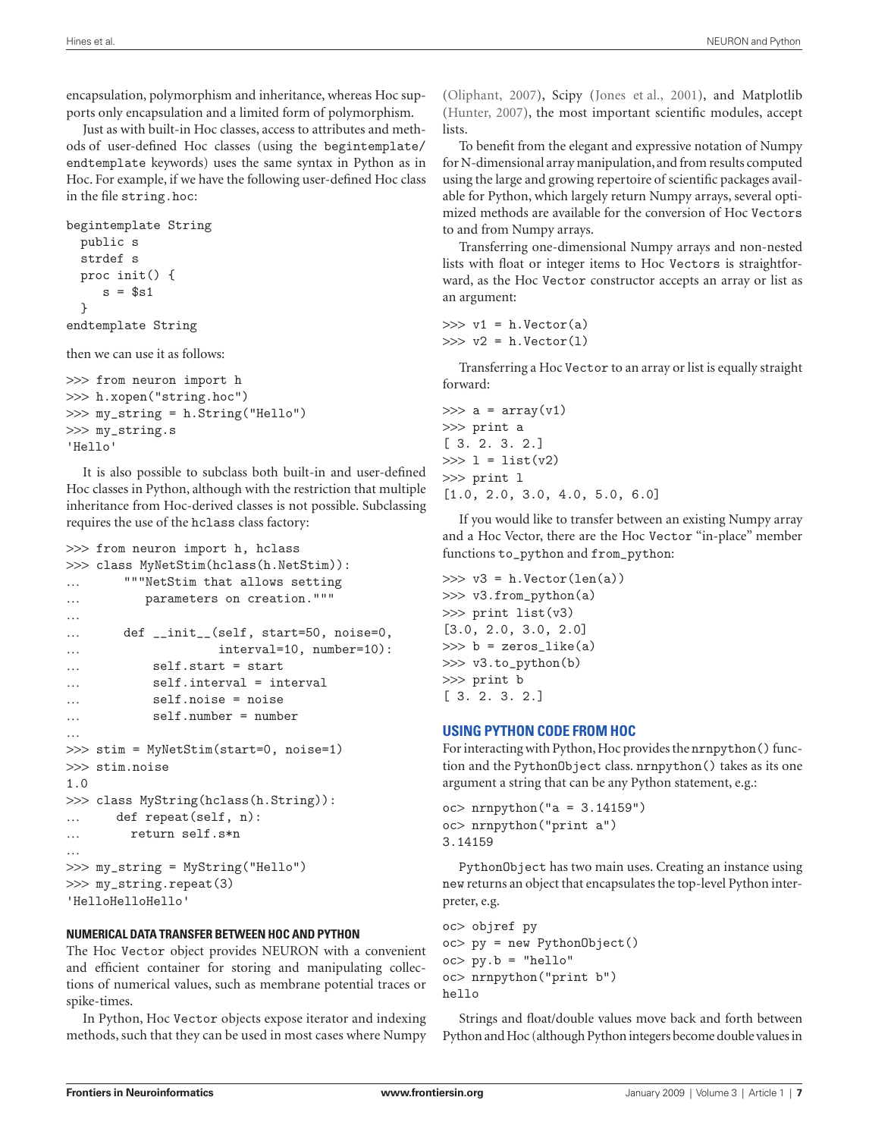encapsulation, polymorphism and inheritance, whereas Hoc supports only encapsulation and a limited form of polymorphism.

Just as with built-in Hoc classes, access to attributes and methods of user-defined Hoc classes (using the begintemplate/ endtemplate keywords) uses the same syntax in Python as in Hoc. For example, if we have the following user-defined Hoc class in the file string.hoc:

```
begintemplate String
   public s
   strdef s
   proc init() {
     s = $s1 }
endtemplate String
```
then we can use it as follows:

```
>>> from neuron import h
>>> h.xopen("string.hoc")
>>> my_string = h.String("Hello")
>>> my_string.s
'Hello'
```
It is also possible to subclass both built-in and user-defined Hoc classes in Python, although with the restriction that multiple inheritance from Hoc-derived classes is not possible. Subclassing requires the use of the hclass class factory:

```
>>> from neuron import h, hclass
>>> class MyNetStim(hclass(h.NetStim)):
… """NetStim that allows setting
… parameters on creation."""
… def __init__(self, start=50, noise=0,
                   interval=10, number=10):
           self.start = start
… self.interval = interval
           … self.noise = noise
… self.number = number
…
>>> stim = MyNetStim(start=0, noise=1)
>>> stim.noise
1.0
>>> class MyString(hclass(h.String)):
… def repeat(self, n):
… return self.s*n
>>> my_string = MyString("Hello")
>>> my_string.repeat(3)
'HelloHelloHello'
```
#### **NUMERICAL DATA TRANSFER BETWEEN HOC AND PYTHON**

The Hoc Vector object provides NEURON with a convenient and efficient container for storing and manipulating collections of numerical values, such as membrane potential traces or spike-times.

In Python, Hoc Vector objects expose iterator and indexing methods, such that they can be used in most cases where Numpy

(Oliphant, 2007), Scipy (Jones et al., 2001), and Matplotlib (Hunter, 2007), the most important scientific modules, accept **lists** 

To benefit from the elegant and expressive notation of Numpy for N-dimensional array manipulation, and from results computed using the large and growing repertoire of scientific packages available for Python, which largely return Numpy arrays, several optimized methods are available for the conversion of Hoc Vectors to and from Numpy arrays.

Transferring one-dimensional Numpy arrays and non-nested lists with float or integer items to Hoc Vectors is straightforward, as the Hoc Vector constructor accepts an array or list as an argument:

```
\gg v1 = h. Vector(a)
\gg v2 = h.Vector(1)
```
Transferring a Hoc Vector to an array or list is equally straight forward:

```
\gg a = array(v1)
>>> print a
[ 3. 2. 3. 2.]
>> 1 = list(v2)>>> print l
[1.0, 2.0, 3.0, 4.0, 5.0, 6.0]
```
If you would like to transfer between an existing Numpy array and a Hoc Vector, there are the Hoc Vector "in-place" member functions to\_python and from\_python:

```
\gg v3 = h.Vector(len(a))
>>> v3.from_python(a)
>>> print list(v3)
[3.0, 2.0, 3.0, 2.0]
\gg b = zeros_like(a)
>>> v3.to_python(b)
>>> print b
[ 3. 2. 3. 2.]
```
## **USING PYTHON CODE FROM HOC**

For interacting with Python, Hoc provides the nrnpython() function and the PythonObject class. nrnpython() takes as its one argument a string that can be any Python statement, e.g.:

```
oc> nrnpython("a = 3.14159")
oc> nrnpython("print a")
3.14159
```
PythonObject has two main uses. Creating an instance using new returns an object that encapsulates the top-level Python interpreter, e.g.

```
oc> objref py
oc> py = new PythonObject()
oc> py.b = "hello"
oc> nrnpython("print b")
hello
```
Strings and float/double values move back and forth between Python and Hoc (although Python integers become double values in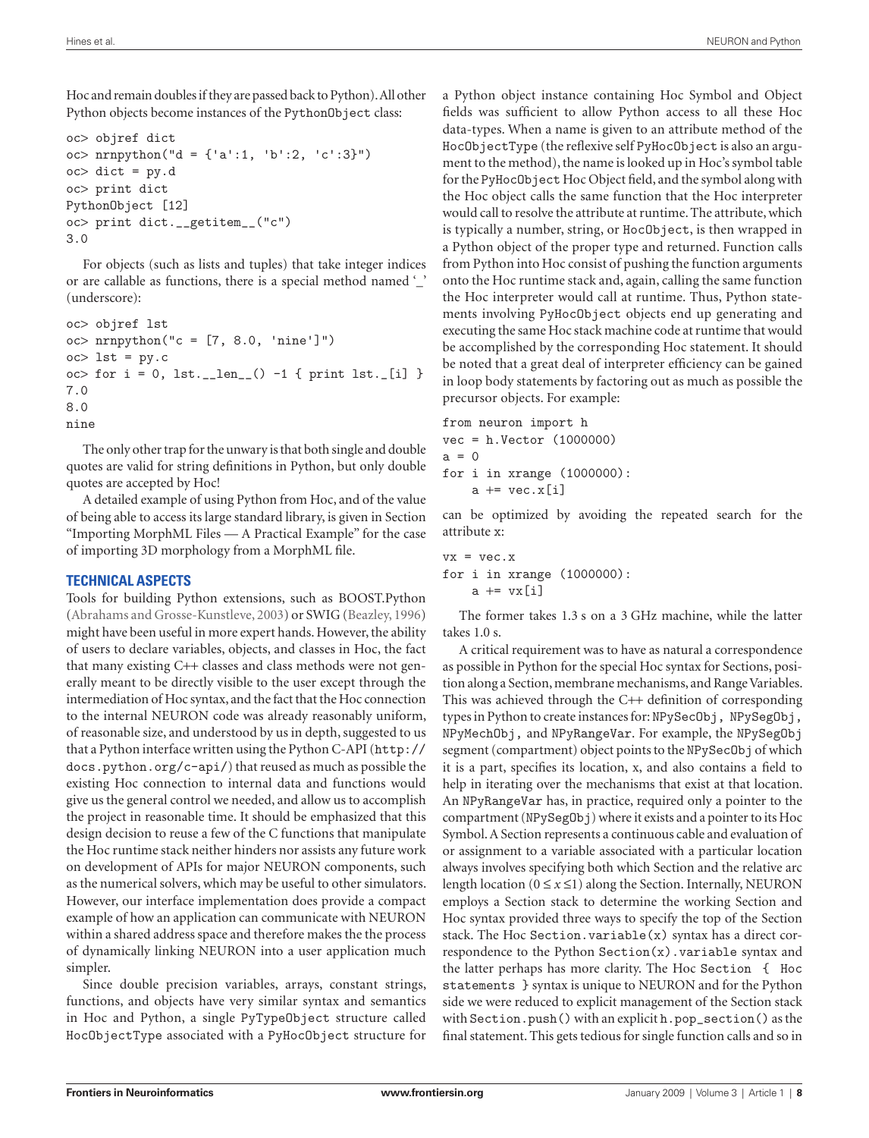Hoc and remain doubles if they are passed back to Python). All other Python objects become instances of the PythonObject class:

```
oc> objref dict
oc> nrnpython("d = {'a':1, 'b':2, 'c':3}")
oc> dict = py.d
oc> print dict
PythonObject [12]
oc> print dict.__getitem__("c")
3.0
```
For objects (such as lists and tuples) that take integer indices or are callable as functions, there is a special method named '\_' (underscore):

```
oc> objref lst
oc> nrnpython("c = [7, 8.0, 'nine']")
oc> 1st = py.coc> for i = 0, lst.__len__() -1 { print lst._[i] }
7.0
8.0
nine
```
The only other trap for the unwary is that both single and double quotes are valid for string definitions in Python, but only double quotes are accepted by Hoc!

A detailed example of using Python from Hoc, and of the value of being able to access its large standard library, is given in Section "Importing MorphML Files — A Practical Example" for the case of importing 3D morphology from a MorphML file.

## **TECHNICAL ASPECTS**

Tools for building Python extensions, such as BOOST.Python (Abrahams and Grosse-Kunstleve, 2003) or SWIG (Beazley, 1996) might have been useful in more expert hands. However, the ability of users to declare variables, objects, and classes in Hoc, the fact that many existing C++ classes and class methods were not generally meant to be directly visible to the user except through the intermediation of Hoc syntax, and the fact that the Hoc connection to the internal NEURON code was already reasonably uniform, of reasonable size, and understood by us in depth, suggested to us that a Python interface written using the Python C-API (http:// docs.python.org/c-api/) that reused as much as possible the existing Hoc connection to internal data and functions would give us the general control we needed, and allow us to accomplish the project in reasonable time. It should be emphasized that this design decision to reuse a few of the C functions that manipulate the Hoc runtime stack neither hinders nor assists any future work on development of APIs for major NEURON components, such as the numerical solvers, which may be useful to other simulators. However, our interface implementation does provide a compact example of how an application can communicate with NEURON within a shared address space and therefore makes the the process of dynamically linking NEURON into a user application much simpler.

Since double precision variables, arrays, constant strings, functions, and objects have very similar syntax and semantics in Hoc and Python, a single PyTypeObject structure called HocObjectType associated with a PyHocObject structure for a Python object instance containing Hoc Symbol and Object fields was sufficient to allow Python access to all these Hoc data-types. When a name is given to an attribute method of the HocObjectType (the reflexive self PyHocObject is also an argument to the method), the name is looked up in Hoc's symbol table for the PyHocObject Hoc Object field, and the symbol along with the Hoc object calls the same function that the Hoc interpreter would call to resolve the attribute at runtime. The attribute, which is typically a number, string, or HocObject, is then wrapped in a Python object of the proper type and returned. Function calls from Python into Hoc consist of pushing the function arguments onto the Hoc runtime stack and, again, calling the same function the Hoc interpreter would call at runtime. Thus, Python statements involving PyHocObject objects end up generating and executing the same Hoc stack machine code at runtime that would be accomplished by the corresponding Hoc statement. It should be noted that a great deal of interpreter efficiency can be gained in loop body statements by factoring out as much as possible the precursor objects. For example:

from neuron import h vec = h.Vector (1000000)  $a = 0$ for i in xrange (1000000):  $a \leftarrow \text{vec}.\text{x}[i]$ 

can be optimized by avoiding the repeated search for the attribute x:

```
vx = vec.xfor i in xrange (1000000):
     a \leftarrow \text{vx}[i]
```
The former takes 1.3 s on a 3 GHz machine, while the latter takes 1.0 s.

A critical requirement was to have as natural a correspondence as possible in Python for the special Hoc syntax for Sections, position along a Section, membrane mechanisms, and Range Variables. This was achieved through the  $C++$  definition of corresponding types in Python to create instances for: NPySecObj, NPySegObj, NPyMechObj, and NPyRangeVar. For example, the NPySegObj segment (compartment) object points to the NPySecOb j of which it is a part, specifies its location, x, and also contains a field to help in iterating over the mechanisms that exist at that location. An NPyRangeVar has, in practice, required only a pointer to the compartment (NPySegObj) where it exists and a pointer to its Hoc Symbol. A Section represents a continuous cable and evaluation of or assignment to a variable associated with a particular location always involves specifying both which Section and the relative arc length location ( $0 \le x \le 1$ ) along the Section. Internally, NEURON employs a Section stack to determine the working Section and Hoc syntax provided three ways to specify the top of the Section stack. The Hoc Section. variable $(x)$  syntax has a direct correspondence to the Python Section(x).variable syntax and the latter perhaps has more clarity. The Hoc Section { Hoc statements } syntax is unique to NEURON and for the Python side we were reduced to explicit management of the Section stack with Section.push() with an explicit h.pop\_section() as the final statement. This gets tedious for single function calls and so in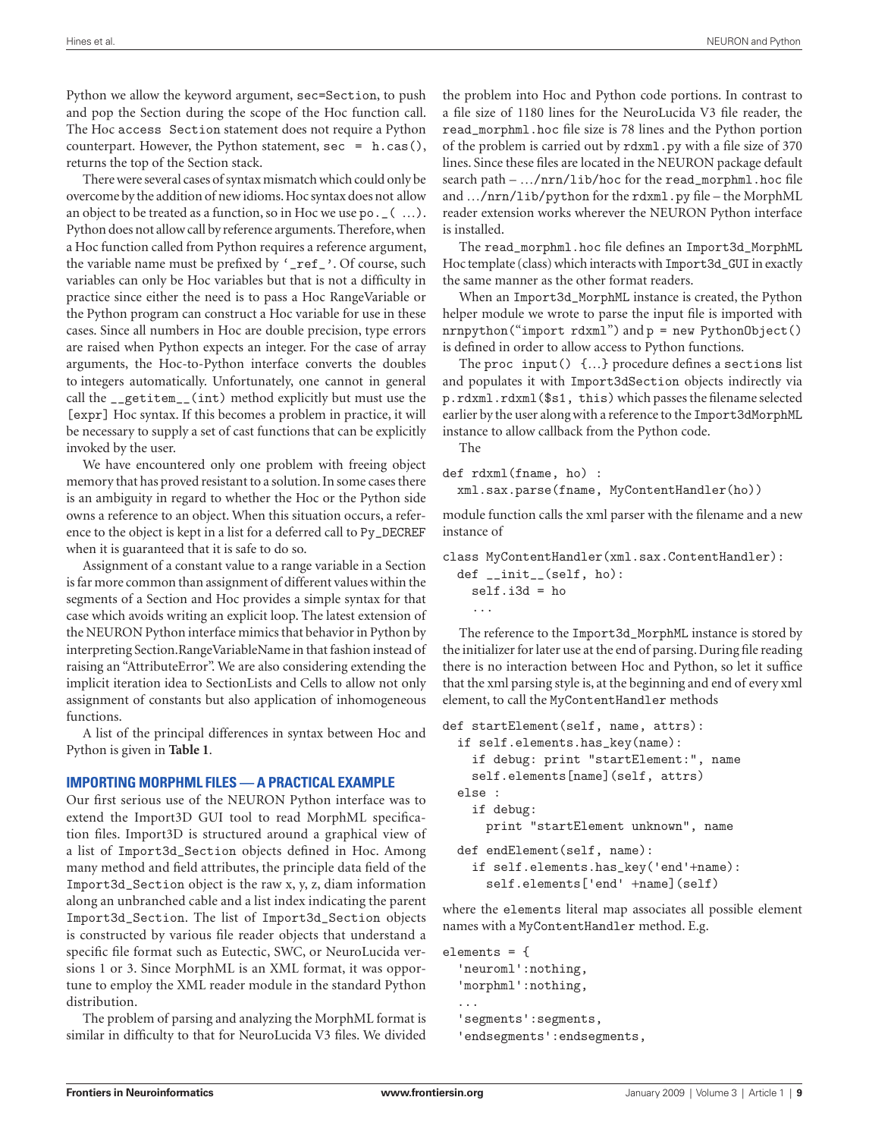Python we allow the keyword argument, sec=Section, to push and pop the Section during the scope of the Hoc function call. The Hoc access Section statement does not require a Python counterpart. However, the Python statement,  $sec = h.cas()$ , returns the top of the Section stack.

There were several cases of syntax mismatch which could only be overcome by the addition of new idioms. Hoc syntax does not allow an object to be treated as a function, so in Hoc we use po.\_( …). Python does not allow call by reference arguments. Therefore, when a Hoc function called from Python requires a reference argument, the variable name must be prefixed by '\_ref\_'. Of course, such variables can only be Hoc variables but that is not a difficulty in practice since either the need is to pass a Hoc RangeVariable or the Python program can construct a Hoc variable for use in these cases. Since all numbers in Hoc are double precision, type errors are raised when Python expects an integer. For the case of array arguments, the Hoc-to-Python interface converts the doubles to integers automatically. Unfortunately, one cannot in general call the \_\_getitem\_\_(int) method explicitly but must use the [expr] Hoc syntax. If this becomes a problem in practice, it will be necessary to supply a set of cast functions that can be explicitly invoked by the user.

We have encountered only one problem with freeing object memory that has proved resistant to a solution. In some cases there is an ambiguity in regard to whether the Hoc or the Python side owns a reference to an object. When this situation occurs, a reference to the object is kept in a list for a deferred call to Py\_DECREF when it is guaranteed that it is safe to do so.

Assignment of a constant value to a range variable in a Section is far more common than assignment of different values within the segments of a Section and Hoc provides a simple syntax for that case which avoids writing an explicit loop. The latest extension of the NEURON Python interface mimics that behavior in Python by interpreting Section.RangeVariableName in that fashion instead of raising an "AttributeError". We are also considering extending the implicit iteration idea to SectionLists and Cells to allow not only assignment of constants but also application of inhomogeneous functions.

A list of the principal differences in syntax between Hoc and Python is given in **Table 1**.

## **IMPORTING MORPHML FILES — A PRACTICAL EXAMPLE**

Our first serious use of the NEURON Python interface was to extend the Import3D GUI tool to read MorphML specification files. Import3D is structured around a graphical view of a list of Import3d\_Section objects defined in Hoc. Among many method and field attributes, the principle data field of the Import3d\_Section object is the raw x, y, z, diam information along an unbranched cable and a list index indicating the parent Import3d\_Section. The list of Import3d\_Section objects is constructed by various file reader objects that understand a specific file format such as Eutectic, SWC, or NeuroLucida versions 1 or 3. Since MorphML is an XML format, it was opportune to employ the XML reader module in the standard Python distribution.

The problem of parsing and analyzing the MorphML format is similar in difficulty to that for NeuroLucida V3 files. We divided

the problem into Hoc and Python code portions. In contrast to a file size of 1180 lines for the NeuroLucida V3 file reader, the read\_morphml.hoc file size is 78 lines and the Python portion of the problem is carried out by rdxml.py with a file size of 370 lines. Since these files are located in the NEURON package default search path –  $\ldots$ /nrn/lib/hoc for the read\_morphml.hoc file and  $\ldots$ /nrn/lib/python for the rdxml.py file – the MorphML reader extension works wherever the NEURON Python interface is installed.

The read\_morphml.hoc file defines an Import3d\_MorphML Hoc template (class) which interacts with Import3d\_GUI in exactly the same manner as the other format readers.

When an Import3d\_MorphML instance is created, the Python helper module we wrote to parse the input file is imported with nrnpython("import rdxml") and p = new PythonObject() is defined in order to allow access to Python functions.

The proc input()  $\{...\}$  procedure defines a sections list and populates it with Import3dSection objects indirectly via p.rdxml.rdxml(\$s1, this) which passes the filename selected earlier by the user along with a reference to the Import3dMorphML instance to allow callback from the Python code.

The

```
def rdxml(fname, ho) :
```
xml.sax.parse(fname, MyContentHandler(ho))

module function calls the xml parser with the filename and a new instance of

```
class MyContentHandler(xml.sax.ContentHandler):
```

```
 def __init__(self, ho):
  self.i3d = ho ...
```
The reference to the Import3d\_MorphML instance is stored by the initializer for later use at the end of parsing. During file reading there is no interaction between Hoc and Python, so let it suffice that the xml parsing style is, at the beginning and end of every xml element, to call the MyContentHandler methods

```
def startElement(self, name, attrs):
   if self.elements.has_key(name):
     if debug: print "startElement:", name
    self.elements[name](self, attrs)
   else :
     if debug:
       print "startElement unknown", name
   def endElement(self, name):
     if self.elements.has_key('end'+name):
```

```
self.elements<sup>['end'</sup> +name](self)
```
where the elements literal map associates all possible element names with a MyContentHandler method. E.g.

```
elements = {
   'neuroml':nothing,
   'morphml':nothing,
 ...
   'segments':segments,
   'endsegments':endsegments,
```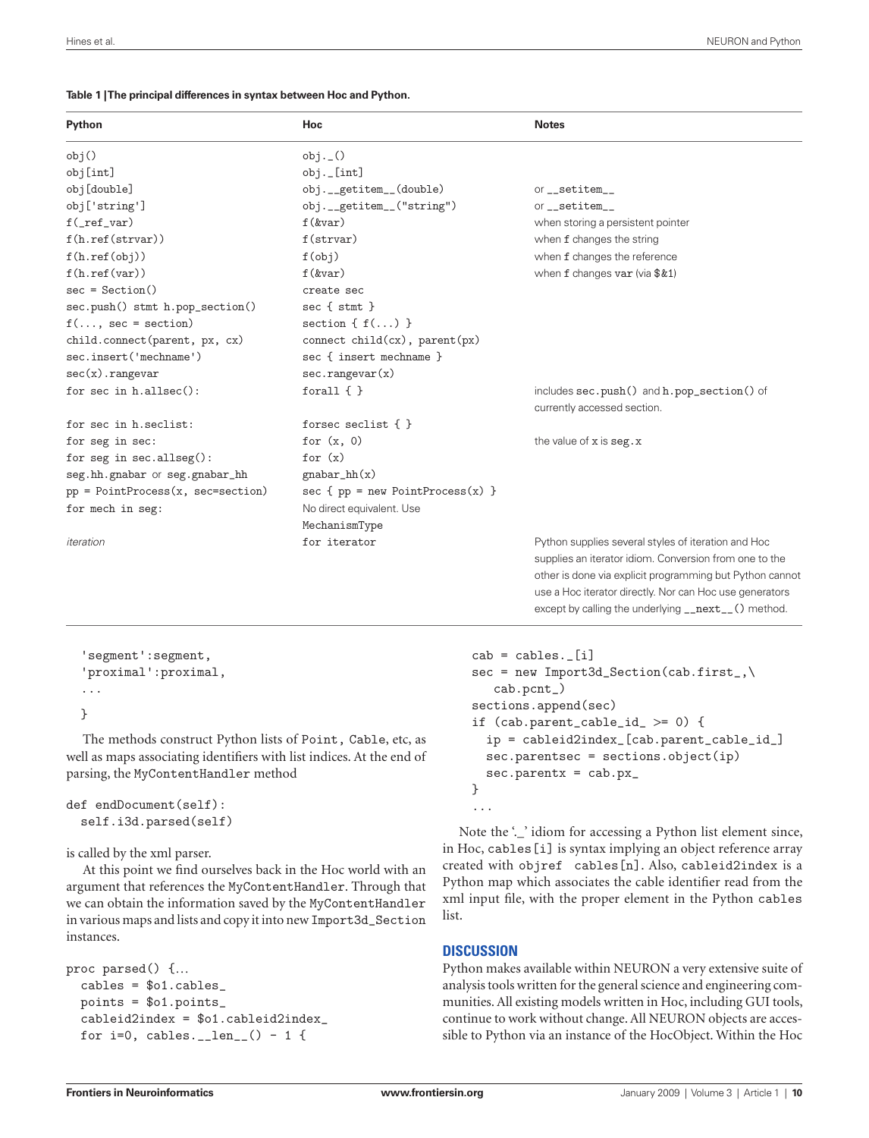#### **Table 1 | The principal differences in syntax between Hoc and Python.**

| Python                              | Hoc                                | <b>Notes</b>                                             |
|-------------------------------------|------------------------------------|----------------------------------------------------------|
| obj()                               | obj. ( )                           |                                                          |
| obj[int]                            | $obj.$ [int]                       |                                                          |
| obj[double]                         | obj.__getitem__(double)            | or__setitem__                                            |
| obj['string']                       | obj.__getitem__("string")          | $or$ __setitem__                                         |
| $f(\nightharpoonupref_\text{var})$  | $f$ $(kvar)$                       | when storing a persistent pointer                        |
| f(h.ref(strvar))                    | f(strvar)                          | when f changes the string                                |
| f(h.ref(obj))                       | f(obj)                             | when f changes the reference                             |
| f(h.ref(var))                       | $f$ $(kvar)$                       | when $f$ changes var (via $$&1)$                         |
| $sec = Section()$                   | create sec                         |                                                          |
| sec.push() stmt h.pop_section()     | $sec\{stmt\}$                      |                                                          |
| $f(, sec = section)$                | section { $f()$ }                  |                                                          |
| child.connect(parent, px, cx)       | connect child(cx), parent(px)      |                                                          |
| sec.insert('mechname')              | sec { insert mechname }            |                                                          |
| $sec(x)$ . rangevar                 | sec.random(x)                      |                                                          |
| for sec in $h$ .allsec $()$ :       | forall $\{\}$                      | includes sec.push() and h.pop_section() of               |
|                                     |                                    | currently accessed section.                              |
| for sec in h.seclist:               | forsec seclist $\{\ \}$            |                                                          |
| for seg in sec:                     | for $(x, 0)$                       | the value of $x$ is $\texttt{seg.x}$                     |
| for seg in $sec.$ allseg $():$      | for $(x)$                          |                                                          |
| seg.hh.gnabar or seg.gnabar_hh      | $gnabar_hh(x)$                     |                                                          |
| $pp = PointProcess(x, sec=section)$ | $sec f pp = new PointProcess(x)$ } |                                                          |
| for mech in seg:                    | No direct equivalent. Use          |                                                          |
|                                     | MechanismType                      |                                                          |
| iteration                           | for iterator                       | Python supplies several styles of iteration and Hoc      |
|                                     |                                    | supplies an iterator idiom. Conversion from one to the   |
|                                     |                                    | other is done via explicit programming but Python cannot |
|                                     |                                    | use a Hoc iterator directly. Nor can Hoc use generators  |

```
 'segment':segment,
 'proximal':proximal,
 ...
 }
```
The methods construct Python lists of Point, Cable, etc, as well as maps associating identifiers with list indices. At the end of parsing, the MyContentHandler method

```
def endDocument(self):
   self.i3d.parsed(self)
```
is called by the xml parser.

At this point we find ourselves back in the Hoc world with an argument that references the MyContentHandler. Through that we can obtain the information saved by the MyContentHandler in various maps and lists and copy it into new Import3d\_Section instances.

```
proc parsed() {…
   cables = $o1.cables_
   points = $o1.points_
   cableid2index = $o1.cableid2index_
  for i=0, cables. __len_() - 1 {
```

```
cab = cables.[i]
    sec = new Import3d\_Section(cab.first_{}) cab.pcnt_)
     sections.append(sec)
     if (cab.parent_cable_id_ >= 0) {
       ip = cableid2index_[cab.parent_cable_id_]
       sec.parentsec = sections.object(ip)
      sec.parentx = cab.py_x }
 ...
```
except by calling the underlying \_\_next\_\_() method.

Note the '...' idiom for accessing a Python list element since, in Hoc, cables[i] is syntax implying an object reference array created with objref cables[n]. Also, cableid2index is a Python map which associates the cable identifier read from the xml input file, with the proper element in the Python cables list.

# **DISCUSSION**

Python makes available within NEURON a very extensive suite of analysis tools written for the general science and engineering communities. All existing models written in Hoc, including GUI tools, continue to work without change. All NEURON objects are accessible to Python via an instance of the HocObject. Within the Hoc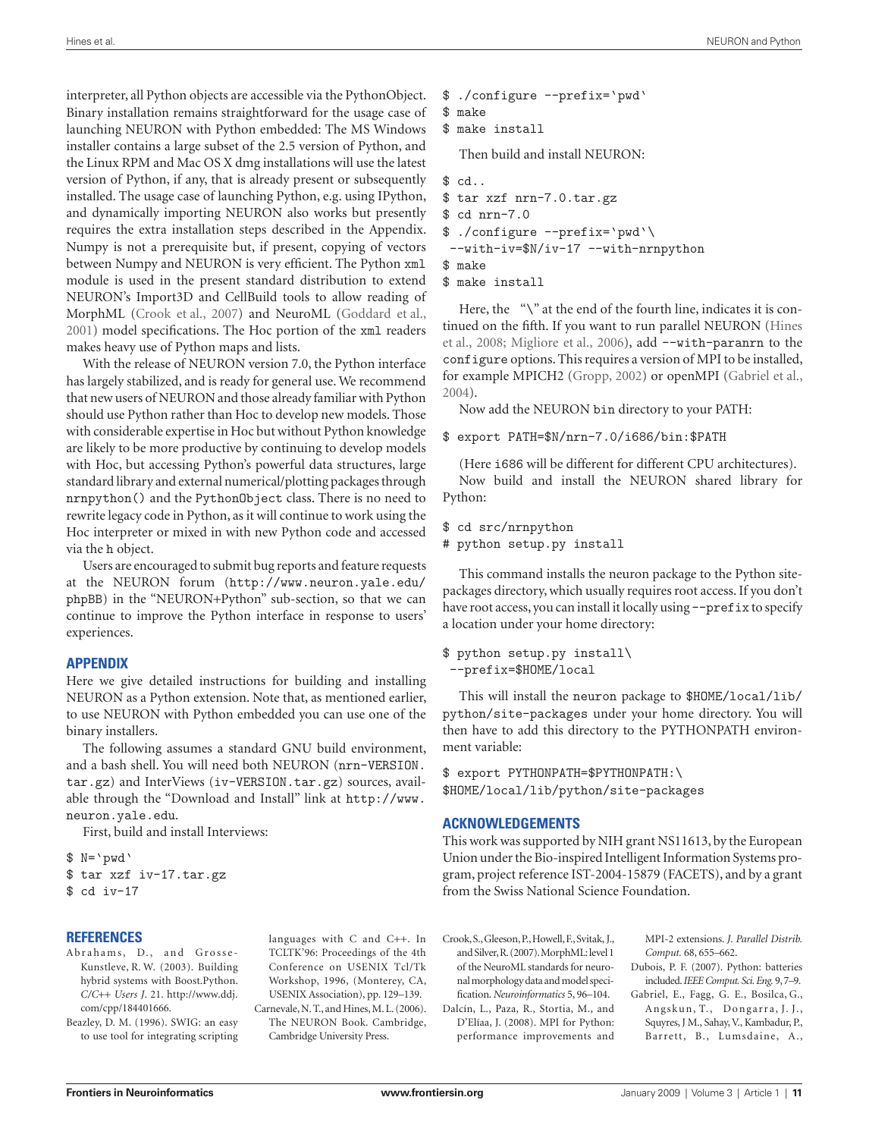interpreter, all Python objects are accessible via the PythonObject. Binary installation remains straightforward for the usage case of launching NEURON with Python embedded: The MS Windows installer contains a large subset of the 2.5 version of Python, and the Linux RPM and Mac OS X dmg installations will use the latest version of Python, if any, that is already present or subsequently installed. The usage case of launching Python, e.g. using IPython, and dynamically importing NEURON also works but presently requires the extra installation steps described in the Appendix. Numpy is not a prerequisite but, if present, copying of vectors between Numpy and NEURON is very efficient. The Python xml module is used in the present standard distribution to extend NEURON's Import3D and CellBuild tools to allow reading of MorphML (Crook et al., 2007) and NeuroML (Goddard et al., 2001) model specifications. The Hoc portion of the xml readers makes heavy use of Python maps and lists.

With the release of NEURON version 7.0, the Python interface has largely stabilized, and is ready for general use. We recommend that new users of NEURON and those already familiar with Python should use Python rather than Hoc to develop new models. Those with considerable expertise in Hoc but without Python knowledge are likely to be more productive by continuing to develop models with Hoc, but accessing Python's powerful data structures, large standard library and external numerical/plotting packages through nrnpython() and the PythonObject class. There is no need to rewrite legacy code in Python, as it will continue to work using the Hoc interpreter or mixed in with new Python code and accessed via the h object.

Users are encouraged to submit bug reports and feature requests at the NEURON forum (http://www.neuron.yale.edu/ phpBB) in the "NEURON+Python" sub-section, so that we can continue to improve the Python interface in response to users' experiences.

#### **APPENDIX**

Here we give detailed instructions for building and installing NEURON as a Python extension. Note that, as mentioned earlier, to use NEURON with Python embedded you can use one of the binary installers.

The following assumes a standard GNU build environment, and a bash shell. You will need both NEURON (nrn-VERSION. tar.gz) and InterViews (iv-VERSION.tar.gz) sources, available through the "Download and Install" link at http://www. neuron.yale.edu.

First, build and install Interviews:

\$ N= 'pwd '

```
$ tar xzf iv-17.tar.gz
$ cd iv-17
```
## **REFERENCES**

Abrahams, D., and Grosse-Kunstleve, R. W. (2003). Building hybrid systems with Boost.Python. *C/C*++ *Users J*. 21. http://www.ddj. com/cpp/184401666.

Beazley, D. M. (1996). SWIG: an easy to use tool for integrating scripting

 languages with C and C++. In TCLTK'96: Proceedings of the 4th Conference on USENIX Tcl/Tk Workshop, 1996, (Monterey, CA, USENIX Association), pp. 129–139. Carnevale, N. T., and Hines, M. L. (2006).

The NEURON Book. Cambridge, Cambridge University Press.

- \$ ./configure --prefix= 'pwd '
- \$ make \$ make install

Then build and install NEURON:

#### \$ cd..

```
$ tar xzf nrn-7.0.tar.gz
$ cd nrn-7.0
```

```
$ ./configure --prefix= 'pwd '\
```

```
 --with-iv=$N/iv-17 --with-nrnpython
```

```
$ make
```

```
$ make install
```
Here, the "\" at the end of the fourth line, indicates it is continued on the fifth. If you want to run parallel NEURON (Hines et al., 2008; Migliore et al., 2006), add --with-paranrn to the configure options. This requires a version of MPI to be installed, for example MPICH2 (Gropp, 2002) or openMPI (Gabriel et al., 2004).

Now add the NEURON bin directory to your PATH:

#### \$ export PATH=\$N/nrn-7.0/i686/bin:\$PATH

(Here i686 will be different for different CPU architectures). Now build and install the NEURON shared library for Python:

```
$ cd src/nrnpython
```

```
# python setup.py install
```
This command installs the neuron package to the Python sitepackages directory, which usually requires root access. If you don't have root access, you can install it locally using --prefix to specify a location under your home directory:

#### \$ python setup.py install\ --prefix=\$HOME/local

This will install the neuron package to \$HOME/local/lib/ python/site-packages under your home directory. You will then have to add this directory to the PYTHONPATH environment variable:

\$ export PYTHONPATH=\$PYTHONPATH:\ \$HOME/local/lib/python/site-packages

## **ACKNOWLEDGEMENTS**

This work was supported by NIH grant NS11613, by the European Union under the Bio-inspired Intelligent Information Systems program, project reference IST-2004-15879 (FACETS), and by a grant from the Swiss National Science Foundation.

Crook, S., Gleeson, P., Howell, F., Svitak, J., and Silver, R. (2007). MorphML: level 1 of the NeuroML standards for neuronal morphology data and model specifi cation. *Neuroinformatics* 5, 96–104.

Dalcín, L., Paza, R., Stortia, M., and D'Elíaa, J. (2008). MPI for Python: performance improvements and MPI-2 extensions. *J. Parallel Distrib. Comput.* 68, 655–662.

- Dubois, P. F. (2007). Python: batteries included. *IEEE Comput. Sci. Eng.* 9, 7–9.
- Gabriel, E., Fagg, G. E., Bosilca, G., Angskun, T., Dongarra, J. J., Squyres, J M., Sahay, V., Kambadur, P., Barrett, B., Lumsdaine, A.,